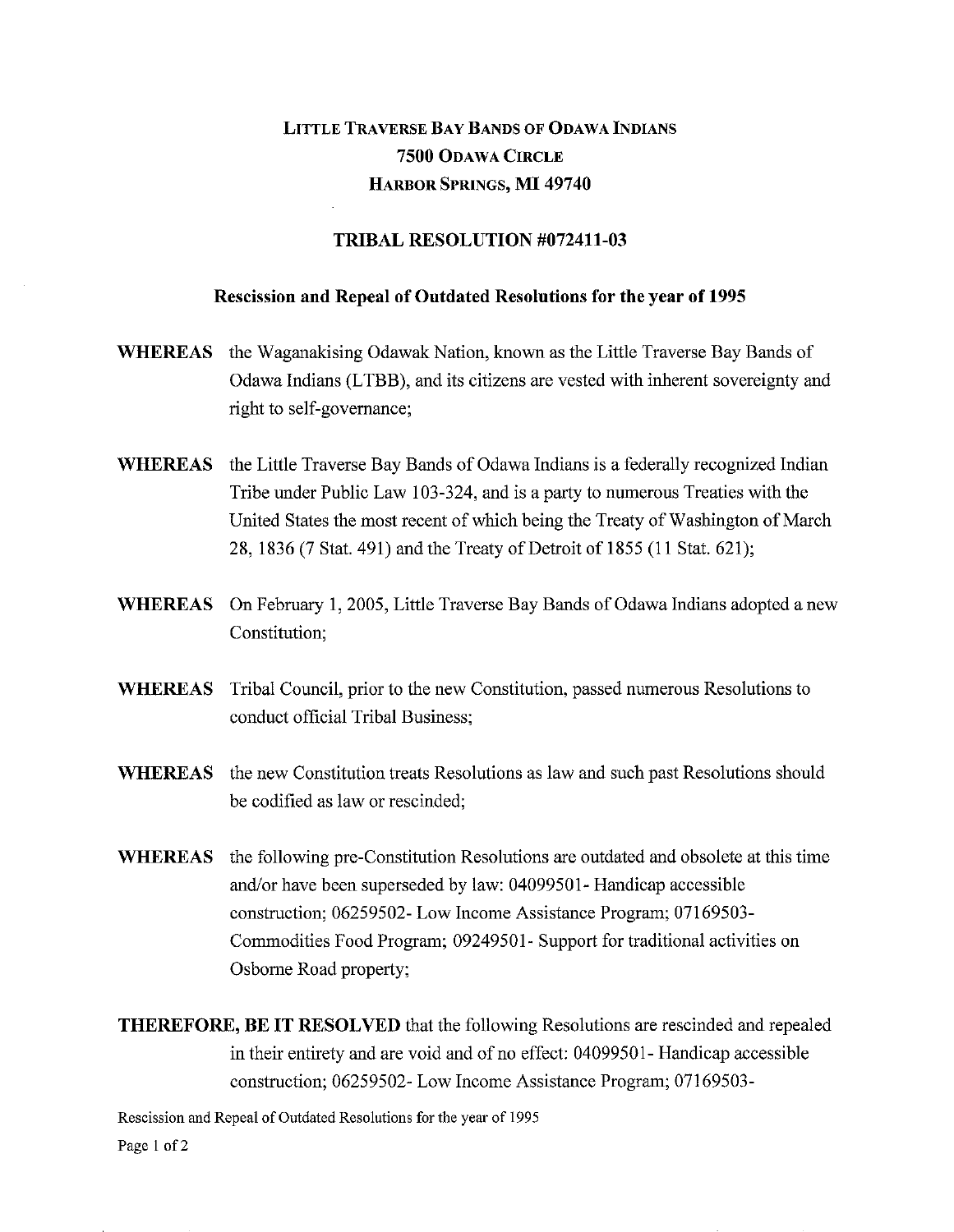## LITTLE TRAVERSE BAY BANDS OF ODAWA INDIANS **7500** ODAWA CIRCLE HARBOR SPRINGS, MI **49740**

## **TRIBAL RESOLUTION #072411-03**

## **Rescission and Repeal of Outdated Resolutions for the year of 1995**

- **WHEREAS** the Waganakising Odawak Nation, known as the Little Traverse Bay Bands of Odawa Indians (LTBB), and its citizens are vested with inherent sovereignty and right to self-governance;
- **WHEREAS** the Little Traverse Bay Bands of Odawa Indians is a federally recognized Indian Tribe under Public Law 103-324, and is a party to numerous Treaties with the United States the most recent of which being the Treaty of Washington of March 28, 1836 (7 Stat. 491) and the Treaty of Detroit of 1855 (11 Stat. 621);
- **WHEREAS** On February 1, 2005, Little Traverse Bay Bands of Odawa Indians adopted a new Constitution;
- **WHEREAS** Tribal Council, prior to the new Constitution, passed numerous Resolutions to conduct official Tribal Business;
- **WHEREAS** the new Constitution treats Resolutions as law and such past Resolutions should be codified as law or rescinded;
- **WHEREAS** the following pre-Constitution Resolutions are outdated and obsolete at this time and/or have been superseded by law: 04099501- Handicap accessible construction; 06259502- Low Income Assistance Program; 07169503- Commodities Food Program; 09249501- Support for traditional activities on Osborne Road property;

**THEREFORE, BE IT RESOLVED** that the following Resolutions are rescinded and repealed in their entirety and are void and of no effect: 04099501- Handicap accessible construction; 06259502- Low Income Assistance Program; 07169503-

Rescission and Repeal of Outdated Resolutions for the year of 1995 Page 1 of 2